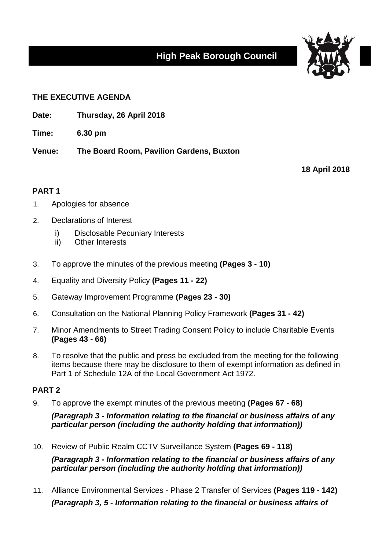# **High Peak Borough Council**



### **THE EXECUTIVE AGENDA**

**Date: Thursday, 26 April 2018**

**Time: 6.30 pm**

**Venue: The Board Room, Pavilion Gardens, Buxton**

**18 April 2018**

## **PART 1**

- 1. Apologies for absence
- 2. Declarations of Interest
	- i) Disclosable Pecuniary Interests
	- ii) Other Interests
- 3. To approve the minutes of the previous meeting **(Pages 3 - 10)**
- 4. Equality and Diversity Policy **(Pages 11 - 22)**
- 5. Gateway Improvement Programme **(Pages 23 - 30)**
- 6. Consultation on the National Planning Policy Framework **(Pages 31 - 42)**
- 7. Minor Amendments to Street Trading Consent Policy to include Charitable Events **(Pages 43 - 66)**
- 8. To resolve that the public and press be excluded from the meeting for the following items because there may be disclosure to them of exempt information as defined in Part 1 of Schedule 12A of the Local Government Act 1972.

#### **PART 2**

9. To approve the exempt minutes of the previous meeting **(Pages 67 - 68)**

*(Paragraph 3 - Information relating to the financial or business affairs of any particular person (including the authority holding that information))*

10. Review of Public Realm CCTV Surveillance System **(Pages 69 - 118)**

*(Paragraph 3 - Information relating to the financial or business affairs of any particular person (including the authority holding that information))*

11. Alliance Environmental Services - Phase 2 Transfer of Services **(Pages 119 - 142)** *(Paragraph 3, 5 - Information relating to the financial or business affairs of*